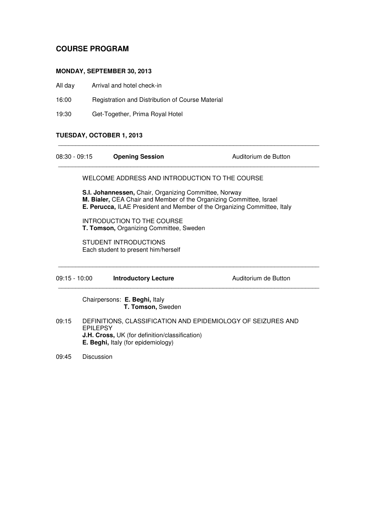# **COURSE PROGRAM**

## **MONDAY, SEPTEMBER 30, 2013**

- All day Arrival and hotel check-in
- 16:00 Registration and Distribution of Course Material
- 19:30 Get-Together, Prima Royal Hotel

## **TUESDAY, OCTOBER 1, 2013**

| $08:30 - 09:15$                                                                                                                                                                                                 |                                                                                                                                                                                | <b>Opening Session</b>                             | Auditorium de Button |  |
|-----------------------------------------------------------------------------------------------------------------------------------------------------------------------------------------------------------------|--------------------------------------------------------------------------------------------------------------------------------------------------------------------------------|----------------------------------------------------|----------------------|--|
|                                                                                                                                                                                                                 |                                                                                                                                                                                | WELCOME ADDRESS AND INTRODUCTION TO THE COURSE     |                      |  |
| <b>S.I. Johannessen, Chair, Organizing Committee, Norway</b><br>M. Bialer, CEA Chair and Member of the Organizing Committee, Israel<br>E. Perucca, ILAE President and Member of the Organizing Committee, Italy |                                                                                                                                                                                |                                                    |                      |  |
|                                                                                                                                                                                                                 | INTRODUCTION TO THE COURSE<br>T. Tomson, Organizing Committee, Sweden                                                                                                          |                                                    |                      |  |
|                                                                                                                                                                                                                 | STUDENT INTRODUCTIONS<br>Each student to present him/herself                                                                                                                   |                                                    |                      |  |
| $09:15 - 10:00$                                                                                                                                                                                                 |                                                                                                                                                                                | <b>Introductory Lecture</b>                        | Auditorium de Button |  |
|                                                                                                                                                                                                                 |                                                                                                                                                                                | Chairpersons: E. Beghi, Italy<br>T. Tomson, Sweden |                      |  |
| 09:15                                                                                                                                                                                                           | DEFINITIONS, CLASSIFICATION AND EPIDEMIOLOGY OF SEIZURES AND<br><b>EPILEPSY</b><br><b>J.H. Cross, UK</b> (for definition/classification)<br>E. Beghi, Italy (for epidemiology) |                                                    |                      |  |

\_\_\_\_\_\_\_\_\_\_\_\_\_\_\_\_\_\_\_\_\_\_\_\_\_\_\_\_\_\_\_\_\_\_\_\_\_\_\_\_\_\_\_\_\_\_\_\_\_\_\_\_\_\_\_\_\_\_\_\_\_\_\_\_\_\_\_\_\_\_\_\_\_\_\_\_

09:45 Discussion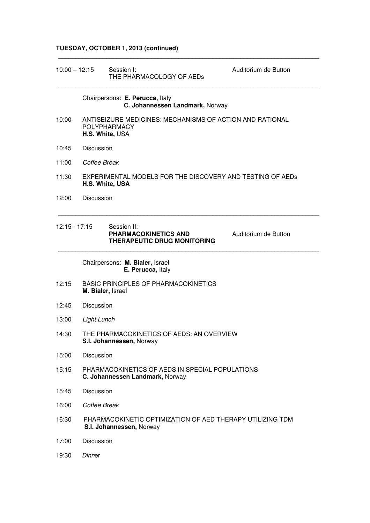# **TUESDAY, OCTOBER 1, 2013 (continued)**

| $10:00 - 12:15$ | Session I:<br>Auditorium de Button<br>THE PHARMACOLOGY OF AEDs                                     |  |  |  |
|-----------------|----------------------------------------------------------------------------------------------------|--|--|--|
|                 | Chairpersons: E. Perucca, Italy<br>C. Johannessen Landmark, Norway                                 |  |  |  |
| 10:00           | ANTISEIZURE MEDICINES: MECHANISMS OF ACTION AND RATIONAL<br><b>POLYPHARMACY</b><br>H.S. White, USA |  |  |  |
| 10:45           | <b>Discussion</b>                                                                                  |  |  |  |
| 11:00           | Coffee Break                                                                                       |  |  |  |
| 11:30           | EXPERIMENTAL MODELS FOR THE DISCOVERY AND TESTING OF AEDS<br>H.S. White, USA                       |  |  |  |
| 12:00           | <b>Discussion</b>                                                                                  |  |  |  |
| $12:15 - 17:15$ | Session II:<br>PHARMACOKINETICS AND<br>Auditorium de Button<br><b>THERAPEUTIC DRUG MONITORING</b>  |  |  |  |
|                 | Chairpersons: M. Bialer, Israel<br>E. Perucca, Italy                                               |  |  |  |
| 12:15           | <b>BASIC PRINCIPLES OF PHARMACOKINETICS</b><br>M. Bialer, Israel                                   |  |  |  |
| 12:45           | <b>Discussion</b>                                                                                  |  |  |  |
| 13:00           | Light Lunch                                                                                        |  |  |  |
| 14:30           | THE PHARMACOKINETICS OF AEDS: AN OVERVIEW<br>S.I. Johannessen, Norway                              |  |  |  |
| 15:00           | Discussion                                                                                         |  |  |  |
| 15:15           | PHARMACOKINETICS OF AEDS IN SPECIAL POPULATIONS<br>C. Johannessen Landmark, Norway                 |  |  |  |
| 15:45           | Discussion                                                                                         |  |  |  |
| 16:00           | Coffee Break                                                                                       |  |  |  |
| 16:30           | PHARMACOKINETIC OPTIMIZATION OF AED THERAPY UTILIZING TDM<br>S.I. Johannessen, Norway              |  |  |  |
| 17:00           | Discussion                                                                                         |  |  |  |
| 19:30           | Dinner                                                                                             |  |  |  |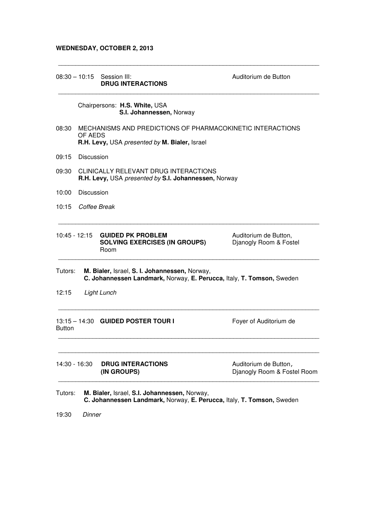## **WEDNESDAY, OCTOBER 2, 2013**

|               |                                                                                                                        | $08:30 - 10:15$ Session III:<br><b>DRUG INTERACTIONS</b>                                                               | Auditorium de Button                                 |
|---------------|------------------------------------------------------------------------------------------------------------------------|------------------------------------------------------------------------------------------------------------------------|------------------------------------------------------|
|               |                                                                                                                        | Chairpersons: H.S. White, USA<br>S.I. Johannessen, Norway                                                              |                                                      |
| 08:30         | MECHANISMS AND PREDICTIONS OF PHARMACOKINETIC INTERACTIONS<br>OF AEDS<br>R.H. Levy, USA presented by M. Bialer, Israel |                                                                                                                        |                                                      |
| 09:15         | Discussion                                                                                                             |                                                                                                                        |                                                      |
| 09:30         | CLINICALLY RELEVANT DRUG INTERACTIONS<br>R.H. Levy, USA presented by S.I. Johannessen, Norway                          |                                                                                                                        |                                                      |
| 10:00         | <b>Discussion</b>                                                                                                      |                                                                                                                        |                                                      |
| 10:15         | Coffee Break                                                                                                           |                                                                                                                        |                                                      |
| 10:45 - 12:15 |                                                                                                                        | <b>GUIDED PK PROBLEM</b><br><b>SOLVING EXERCISES (IN GROUPS)</b><br>Room                                               | Auditorium de Button,<br>Djanogly Room & Fostel      |
| Tutors:       |                                                                                                                        | M. Bialer, Israel, S. I. Johannessen, Norway,<br>C. Johannessen Landmark, Norway, E. Perucca, Italy, T. Tomson, Sweden |                                                      |
| 12:15         |                                                                                                                        | Light Lunch                                                                                                            |                                                      |
| <b>Button</b> |                                                                                                                        | 13:15 - 14:30 GUIDED POSTER TOUR I                                                                                     | Foyer of Auditorium de                               |
| 14:30 - 16:30 |                                                                                                                        | <b>DRUG INTERACTIONS</b><br>(IN GROUPS)                                                                                | Auditorium de Button,<br>Dianogly Room & Fostel Room |
| Tutors:       |                                                                                                                        | M. Bialer, Israel, S.I. Johannessen, Norway,<br>C. Johannessen Landmark, Norway, E. Perucca, Italy, T. Tomson, Sweden  |                                                      |
| 19:30         | Dinner                                                                                                                 |                                                                                                                        |                                                      |

\_\_\_\_\_\_\_\_\_\_\_\_\_\_\_\_\_\_\_\_\_\_\_\_\_\_\_\_\_\_\_\_\_\_\_\_\_\_\_\_\_\_\_\_\_\_\_\_\_\_\_\_\_\_\_\_\_\_\_\_\_\_\_\_\_\_\_\_\_\_\_\_\_\_\_\_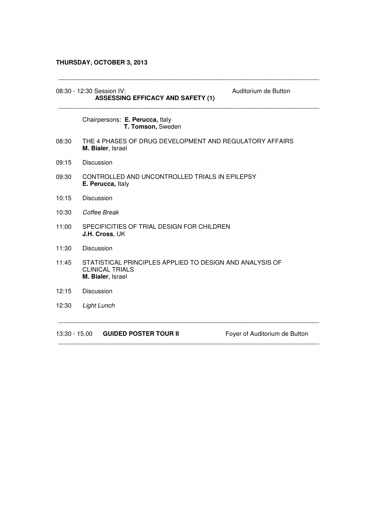# **THURSDAY, OCTOBER 3, 2013**

|       | Auditorium de Button<br>08:30 - 12:30 Session IV:<br><b>ASSESSING EFFICACY AND SAFETY (1)</b>           |
|-------|---------------------------------------------------------------------------------------------------------|
|       | Chairpersons: E. Perucca, Italy<br>T. Tomson, Sweden                                                    |
| 08:30 | THE 4 PHASES OF DRUG DEVELOPMENT AND REGULATORY AFFAIRS<br>M. Bialer, Israel                            |
| 09:15 | Discussion                                                                                              |
| 09:30 | CONTROLLED AND UNCONTROLLED TRIALS IN EPILEPSY<br>E. Perucca, Italy                                     |
| 10:15 | Discussion                                                                                              |
| 10:30 | Coffee Break                                                                                            |
| 11:00 | SPECIFICITIES OF TRIAL DESIGN FOR CHILDREN<br>J.H. Cross, UK                                            |
| 11:30 | <b>Discussion</b>                                                                                       |
| 11:45 | STATISTICAL PRINCIPLES APPLIED TO DESIGN AND ANALYSIS OF<br><b>CLINICAL TRIALS</b><br>M. Bialer, Israel |
| 12:15 | <b>Discussion</b>                                                                                       |
| 12:30 | Light Lunch                                                                                             |
|       |                                                                                                         |

\_\_\_\_\_\_\_\_\_\_\_\_\_\_\_\_\_\_\_\_\_\_\_\_\_\_\_\_\_\_\_\_\_\_\_\_\_\_\_\_\_\_\_\_\_\_\_\_\_\_\_\_\_\_\_\_\_\_\_\_\_\_\_\_\_\_\_\_\_\_\_\_\_\_\_\_

\_\_\_\_\_\_\_\_\_\_\_\_\_\_\_\_\_\_\_\_\_\_\_\_\_\_\_\_\_\_\_\_\_\_\_\_\_\_\_\_\_\_\_\_\_\_\_\_\_\_\_\_\_\_\_\_\_\_\_\_\_\_\_\_\_\_\_\_\_\_\_\_\_\_\_\_

13:30 - 15.00 **GUIDED POSTER TOUR II** Foyer of Auditorium de Button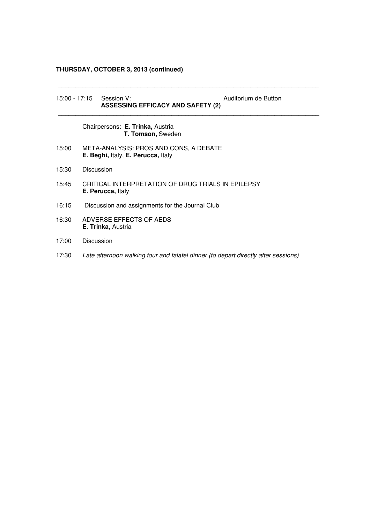# **THURSDAY, OCTOBER 3, 2013 (continued)**

|       |            | 15:00 - 17:15 Session V:<br><b>ASSESSING EFFICACY AND SAFETY (2)</b>           | Auditorium de Button                                                               |
|-------|------------|--------------------------------------------------------------------------------|------------------------------------------------------------------------------------|
|       |            | Chairpersons: E. Trinka, Austria<br>T. Tomson, Sweden                          |                                                                                    |
| 15:00 |            | META-ANALYSIS: PROS AND CONS, A DEBATE<br>E. Beghi, Italy, E. Perucca, Italy   |                                                                                    |
| 15:30 | Discussion |                                                                                |                                                                                    |
| 15:45 |            | CRITICAL INTERPRETATION OF DRUG TRIALS IN EPILEPSY<br><b>E. Perucca, Italy</b> |                                                                                    |
| 16:15 |            | Discussion and assignments for the Journal Club                                |                                                                                    |
| 16:30 |            | ADVERSE EFFECTS OF AEDS<br><b>E. Trinka, Austria</b>                           |                                                                                    |
| 17:00 | Discussion |                                                                                |                                                                                    |
| 17:30 |            |                                                                                | Late afternoon walking tour and falafel dinner (to depart directly after sessions) |

\_\_\_\_\_\_\_\_\_\_\_\_\_\_\_\_\_\_\_\_\_\_\_\_\_\_\_\_\_\_\_\_\_\_\_\_\_\_\_\_\_\_\_\_\_\_\_\_\_\_\_\_\_\_\_\_\_\_\_\_\_\_\_\_\_\_\_\_\_\_\_\_\_\_\_\_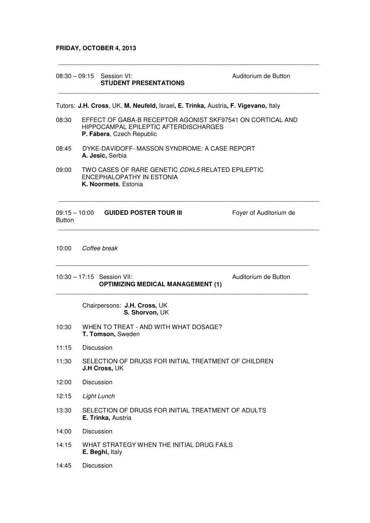## **FRIDAY, OCTOBER 4, 2013**

|               |                   | 08:30 - 09:15 Session VI:<br><b>STUDENT PRESENTATIONS</b>                                                                        | Auditorium de Button   |  |
|---------------|-------------------|----------------------------------------------------------------------------------------------------------------------------------|------------------------|--|
|               |                   | Tutors: J.H. Cross, UK, M. Neufeld, Israel, E. Trinka, Austria, F. Vigevano, Italy                                               |                        |  |
| 08:30         |                   | EFFECT OF GABA-B RECEPTOR AGONIST SKF97541 ON CORTICAL AND<br>HIPPOCAMPAL EPILEPTIC AFTERDISCHARGES<br>P. Fábera, Czech Republic |                        |  |
| 08:45         |                   | DYKE-DAVIDOFF- MASSON SYNDROME: A CASE REPORT<br>A. Jesic, Serbia                                                                |                        |  |
| 09:00         |                   | TWO CASES OF RARE GENETIC CDKL5 RELATED EPILEPTIC<br>ENCEPHALOPATHY IN ESTONIA<br>K. Noormets, Estonia                           |                        |  |
| <b>Button</b> |                   |                                                                                                                                  | Foyer of Auditorium de |  |
| 10:00         |                   | Coffee break                                                                                                                     |                        |  |
|               |                   | 10:30 - 17:15 Session VII:<br><b>OPTIMIZING MEDICAL MANAGEMENT (1)</b>                                                           | Auditorium de Button   |  |
|               |                   | Chairpersons: J.H. Cross, UK<br>S. Shorvon, UK                                                                                   |                        |  |
| 10:30         |                   | WHEN TO TREAT - AND WITH WHAT DOSAGE?<br>T. Tomson, Sweden                                                                       |                        |  |
| 11:15         | Discussion        |                                                                                                                                  |                        |  |
| 11:30         |                   | SELECTION OF DRUGS FOR INITIAL TREATMENT OF CHILDREN<br>J.H Cross, UK                                                            |                        |  |
| 12:00         |                   | <b>Discussion</b>                                                                                                                |                        |  |
| 12:15         |                   | Light Lunch                                                                                                                      |                        |  |
| 13:30         |                   | SELECTION OF DRUGS FOR INITIAL TREATMENT OF ADULTS<br>E. Trinka, Austria                                                         |                        |  |
| 14:00         |                   | Discussion                                                                                                                       |                        |  |
| 14:15         |                   | WHAT STRATEGY WHEN THE INITIAL DRUG FAILS<br>E. Beghi, Italy                                                                     |                        |  |
| 14:45         | <b>Discussion</b> |                                                                                                                                  |                        |  |

\_\_\_\_\_\_\_\_\_\_\_\_\_\_\_\_\_\_\_\_\_\_\_\_\_\_\_\_\_\_\_\_\_\_\_\_\_\_\_\_\_\_\_\_\_\_\_\_\_\_\_\_\_\_\_\_\_\_\_\_\_\_\_\_\_\_\_\_\_\_\_\_\_\_\_\_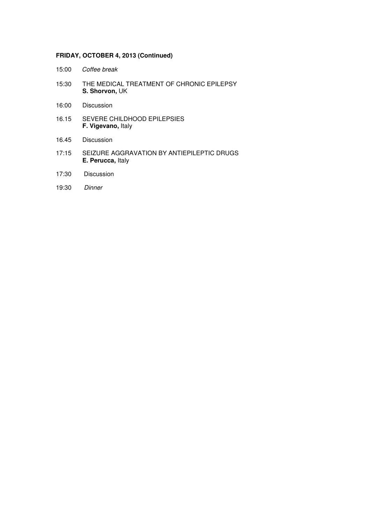## **FRIDAY, OCTOBER 4, 2013 (Continued)**

- 15:00 Coffee break
- 15:30 THE MEDICAL TREATMENT OF CHRONIC EPILEPSY **S. Shorvon,** UK
- 16:00 Discussion
- 16.15 SEVERE CHILDHOOD EPILEPSIES **F. Vigevano,** Italy
- 16.45 Discussion
- 17:15 SEIZURE AGGRAVATION BY ANTIEPILEPTIC DRUGS **E. Perucca,** Italy
- 17:30 Discussion
- 19:30 Dinner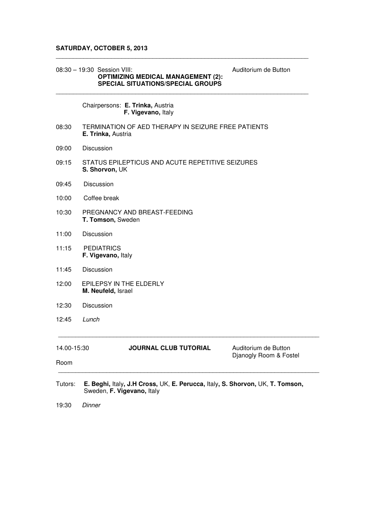#### **SATURDAY, OCTOBER 5, 2013**

#### 08:30 – 19:30 Session VIII: Auditorium de Button  **OPTIMIZING MEDICAL MANAGEMENT (2): SPECIAL SITUATIONS/SPECIAL GROUPS**

### Chairpersons: **E. Trinka,** Austria  **F. Vigevano,** Italy

08:30 TERMINATION OF AED THERAPY IN SEIZURE FREE PATIENTS **E. Trinka,** Austria

\_\_\_\_\_\_\_\_\_\_\_\_\_\_\_\_\_\_\_\_\_\_\_\_\_\_\_\_\_\_\_\_\_\_\_\_\_\_\_\_\_\_\_\_\_\_\_\_\_\_\_\_\_\_\_\_\_\_\_\_\_\_\_\_\_\_\_\_\_\_\_\_\_

 $\mathcal{L}_\text{max}$  , and the set of the set of the set of the set of the set of the set of the set of the set of the set of the set of the set of the set of the set of the set of the set of the set of the set of the set of the

- 09:00 Discussion
- 09:15STATUS EPILEPTICUS AND ACUTE REPETITIVE SEIZURES **S. Shorvon,** UK
- 09:45 Discussion
- 10:00 Coffee break
- 10:30 PREGNANCY AND BREAST-FEEDING **T. Tomson,** Sweden
- 11:00 Discussion
- 11:15 PEDIATRICS **F. Vigevano,** Italy
- 11:45 Discussion
- 12:00 EPILEPSY IN THE ELDERLY **M. Neufeld,** Israel
- 12:30 Discussion
- 12:45 Lunch

14.00-15:30 **JOURNAL CLUB TUTORIAL** Auditorium de Button

\_\_\_\_\_\_\_\_\_\_\_\_\_\_\_\_\_\_\_\_\_\_\_\_\_\_\_\_\_\_\_\_\_\_\_\_\_\_\_\_\_\_\_\_\_\_\_\_\_\_\_\_\_\_\_\_\_\_\_\_\_\_\_\_\_\_\_\_\_\_\_\_\_\_\_\_

\_\_\_\_\_\_\_\_\_\_\_\_\_\_\_\_\_\_\_\_\_\_\_\_\_\_\_\_\_\_\_\_\_\_\_\_\_\_\_\_\_\_\_\_\_\_\_\_\_\_\_\_\_\_\_\_\_\_\_\_\_\_\_\_\_\_\_\_\_\_\_\_\_\_\_\_

Djanogly Room & Fostel

Room

Tutors: **E. Beghi,** Italy**, J.H Cross,** UK, **E. Perucca,** Italy**, S. Shorvon,** UK, **T. Tomson,**  Sweden, **F. Vigevano,** Italy

19:30 Dinner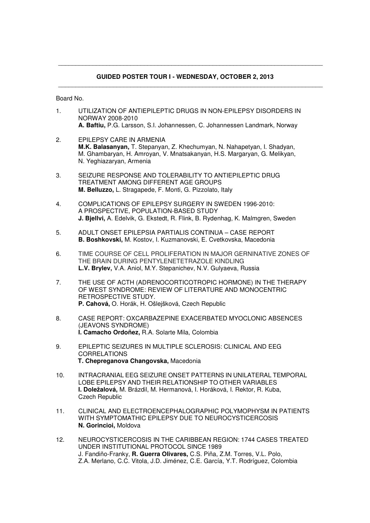### **GUIDED POSTER TOUR I - WEDNESDAY, OCTOBER 2, 2013**

\_\_\_\_\_\_\_\_\_\_\_\_\_\_\_\_\_\_\_\_\_\_\_\_\_\_\_\_\_\_\_\_\_\_\_\_\_\_\_\_\_\_\_\_\_\_\_\_\_\_\_\_\_\_\_\_\_\_\_\_\_\_\_\_\_\_\_\_\_\_\_\_\_\_\_\_\_

\_\_\_\_\_\_\_\_\_\_\_\_\_\_\_\_\_\_\_\_\_\_\_\_\_\_\_\_\_\_\_\_\_\_\_\_\_\_\_\_\_\_\_\_\_\_\_\_\_\_\_\_\_\_\_\_\_\_\_\_\_\_\_\_\_\_\_\_\_\_\_\_\_\_\_\_\_

Board No.

1. UTILIZATION OF ANTIEPILEPTIC DRUGS IN NON-EPILEPSY DISORDERS IN NORWAY 2008-2010

 **A. Baftiu,** P.G. Larsson, S.I. Johannessen, C. Johannessen Landmark, Norway

- 2. EPILEPSY CARE IN ARMENIA  **M.K. Balasanyan,** T. Stepanyan, Z. Khechumyan, N. Nahapetyan, I. Shadyan, M. Ghambaryan, H. Amroyan, V. Mnatsakanyan, H.S. Margaryan, G. Melikyan, N. Yeghiazaryan, Armenia
- 3. SEIZURE RESPONSE AND TOLERABILITY TO ANTIEPILEPTIC DRUG TREATMENT AMONG DIFFERENT AGE GROUPS  **M. Belluzzo,** L. Stragapede, F. Monti, G. Pizzolato, Italy
- 4. COMPLICATIONS OF EPILEPSY SURGERY IN SWEDEN 1996-2010: A PROSPECTIVE, POPULATION-BASED STUDY  **J. Bjellvi,** A. Edelvik, G. Ekstedt, R. Flink, B. Rydenhag, K. Malmgren, Sweden
- 5. ADULT ONSET EPILEPSIA PARTIALIS CONTINUA CASE REPORT  **B. Boshkovski,** M. Kostov, I. Kuzmanovski, E. Cvetkovska, Macedonia
- 6. TIME COURSE OF CELL PROLIFERATION IN MAJOR GERNINATIVE ZONES OF THE BRAIN DURING PENTYLENETETRAZOLE KINDLING **L.V. Brylev,** V.A. Aniol, M.Y. Stepanichev, N.V. Gulyaeva, Russia
- 7. THE USE OF ACTH (ADRENOCORTICOTROPIC HORMONE) IN THE THERAPY OF WEST SYNDROME: REVIEW OF LITERATURE AND MONOCENTRIC RETROSPECTIVE STUDY.  **P. Cahová,** O. Horák, H. Ošlejšková, Czech Republic
- 8. CASE REPORT: OXCARBAZEPINE EXACERBATED MYOCLONIC ABSENCES (JEAVONS SYNDROME)  **I. Camacho Ordoñez,** R.A. Solarte Mila, Colombia
- 9. EPILEPTIC SEIZURES IN MULTIPLE SCLEROSIS: CLINICAL AND EEG CORRELATIONS **T. Chepreganova Changovska,** Macedonia
- 10. INTRACRANIAL EEG SEIZURE ONSET PATTERNS IN UNILATERAL TEMPORAL LOBE EPILEPSY AND THEIR RELATIONSHIP TO OTHER VARIABLES  **I. Doležalová,** M. Brázdil, M. Hermanová, I. Horáková, I. Rektor, R. Kuba, Czech Republic
- 11. CLINICAL AND ELECTROENCEPHALOGRAPHIC POLYMOPHYSM IN PATIENTS WITH SYMPTOMATHIC EPILEPSY DUE TO NEUROCYSTICERCOSIS **N. Gorincioi,** Moldova
- 12. NEUROCYSTICERCOSIS IN THE CARIBBEAN REGION: 1744 CASES TREATED UNDER INSTITUTIONAL PROTOCOL SINCE 1989 J. Fandiño-Franky, **R. Guerra Olivares,** C.S. Piña, Z.M. Torres, V.L. Polo, Z.A. Merlano, C.C. Vitola, J.D. Jiménez, C.E. García, Y.T. Rodríguez, Colombia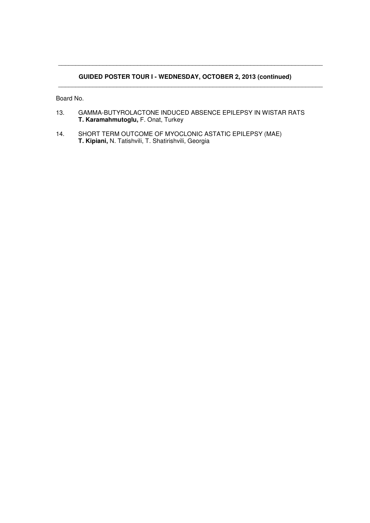### **GUIDED POSTER TOUR I - WEDNESDAY, OCTOBER 2, 2013 (continued)**  \_\_\_\_\_\_\_\_\_\_\_\_\_\_\_\_\_\_\_\_\_\_\_\_\_\_\_\_\_\_\_\_\_\_\_\_\_\_\_\_\_\_\_\_\_\_\_\_\_\_\_\_\_\_\_\_\_\_\_\_\_\_\_\_\_\_\_\_\_\_\_\_\_\_\_\_\_

\_\_\_\_\_\_\_\_\_\_\_\_\_\_\_\_\_\_\_\_\_\_\_\_\_\_\_\_\_\_\_\_\_\_\_\_\_\_\_\_\_\_\_\_\_\_\_\_\_\_\_\_\_\_\_\_\_\_\_\_\_\_\_\_\_\_\_\_\_\_\_\_\_\_\_\_\_

- 13. GAMMA-BUTYROLACTONE INDUCED ABSENCE EPILEPSY IN WISTAR RATS  **T. Karamahmutoglu,** F. Onat, Turkey
- 14. SHORT TERM OUTCOME OF MYOCLONIC ASTATIC EPILEPSY (MAE)  **T. Kipiani,** N. Tatishvili, T. Shatirishvili, Georgia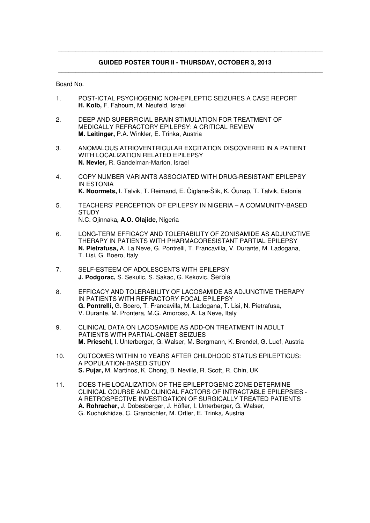### **GUIDED POSTER TOUR II - THURSDAY, OCTOBER 3, 2013**

\_\_\_\_\_\_\_\_\_\_\_\_\_\_\_\_\_\_\_\_\_\_\_\_\_\_\_\_\_\_\_\_\_\_\_\_\_\_\_\_\_\_\_\_\_\_\_\_\_\_\_\_\_\_\_\_\_\_\_\_\_\_\_\_\_\_\_\_\_\_\_\_\_\_\_\_\_

\_\_\_\_\_\_\_\_\_\_\_\_\_\_\_\_\_\_\_\_\_\_\_\_\_\_\_\_\_\_\_\_\_\_\_\_\_\_\_\_\_\_\_\_\_\_\_\_\_\_\_\_\_\_\_\_\_\_\_\_\_\_\_\_\_\_\_\_\_\_\_\_\_\_\_\_\_

- 1. POST-ICTAL PSYCHOGENIC NON-EPILEPTIC SEIZURES A CASE REPORT  **H. Kolb,** F. Fahoum, M. Neufeld, Israel
- 2. DEEP AND SUPERFICIAL BRAIN STIMULATION FOR TREATMENT OF MEDICALLY REFRACTORY EPILEPSY: A CRITICAL REVIEW **M. Leitinger,** P.A. Winkler, E. Trinka, Austria
- 3. ANOMALOUS ATRIOVENTRICULAR EXCITATION DISCOVERED IN A PATIENT WITH LOCALIZATION RELATED EPILEPSY  **N. Nevler,** R. Gandelman-Marton, Israel
- 4. COPY NUMBER VARIANTS ASSOCIATED WITH DRUG-RESISTANT EPILEPSY IN ESTONIA  **K. Noormets,** I. Talvik, T. Reimand, E. Õiglane-Šlik, K. Õunap, T. Talvik, Estonia
- 5. TEACHERS' PERCEPTION OF EPILEPSY IN NIGERIA A COMMUNITY-BASED **STUDY** N.C. Ojinnaka**, A.O. Olajide**, Nigeria
- 6. LONG-TERM EFFICACY AND TOLERABILITY OF ZONISAMIDE AS ADJUNCTIVE THERAPY IN PATIENTS WITH PHARMACORESISTANT PARTIAL EPILEPSY  **N. Pietrafusa,** A. La Neve, G. Pontrelli, T. Francavilla, V. Durante, M. Ladogana, T. Lisi, G. Boero, Italy
- 7. SELF-ESTEEM OF ADOLESCENTS WITH EPILEPSY  **J. Podgorac,** S. Sekulic, S. Sakac, G. Kekovic, Serbia
- 8. EFFICACY AND TOLERABILITY OF LACOSAMIDE AS ADJUNCTIVE THERAPY IN PATIENTS WITH REFRACTORY FOCAL EPILEPSY  **G. Pontrelli,** G. Boero, T. Francavilla, M. Ladogana, T. Lisi, N. Pietrafusa, V. Durante, M. Prontera, M.G. Amoroso, A. La Neve, Italy
- 9. CLINICAL DATA ON LACOSAMIDE AS ADD-ON TREATMENT IN ADULT PATIENTS WITH PARTIAL-ONSET SEIZUES  **M. Prieschl,** I. Unterberger, G. Walser, M. Bergmann, K. Brendel, G. Luef, Austria
- 10. OUTCOMES WITHIN 10 YEARS AFTER CHILDHOOD STATUS EPILEPTICUS: A POPULATION-BASED STUDY  **S. Pujar,** M. Martinos, K. Chong, B. Neville, R. Scott, R. Chin, UK
- 11. DOES THE LOCALIZATION OF THE EPILEPTOGENIC ZONE DETERMINE CLINICAL COURSE AND CLINICAL FACTORS OF INTRACTABLE EPILEPSIES - A RETROSPECTIVE INVESTIGATION OF SURGICALLY TREATED PATIENTS  **A. Rohracher,** J. Dobesberger, J. Höfler, I. Unterberger, G. Walser, G. Kuchukhidze, C. Granbichler, M. Ortler, E. Trinka, Austria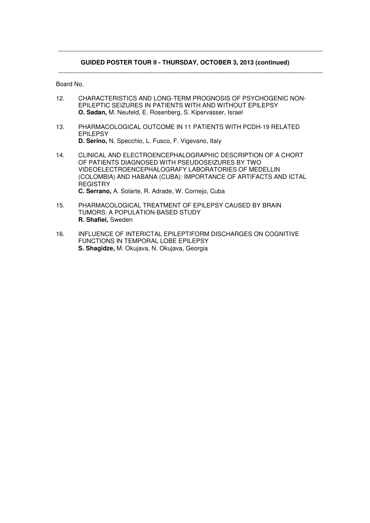#### **GUIDED POSTER TOUR II - THURSDAY, OCTOBER 3, 2013 (continued)**

\_\_\_\_\_\_\_\_\_\_\_\_\_\_\_\_\_\_\_\_\_\_\_\_\_\_\_\_\_\_\_\_\_\_\_\_\_\_\_\_\_\_\_\_\_\_\_\_\_\_\_\_\_\_\_\_\_\_\_\_\_\_\_\_\_\_\_\_\_\_\_\_\_\_\_\_\_

\_\_\_\_\_\_\_\_\_\_\_\_\_\_\_\_\_\_\_\_\_\_\_\_\_\_\_\_\_\_\_\_\_\_\_\_\_\_\_\_\_\_\_\_\_\_\_\_\_\_\_\_\_\_\_\_\_\_\_\_\_\_\_\_\_\_\_\_\_\_\_\_\_\_\_\_\_

- 12. CHARACTERISTICS AND LONG-TERM PROGNOSIS OF PSYCHOGENIC NON- EPILEPTIC SEIZURES IN PATIENTS WITH AND WITHOUT EPILEPSY  **O. Sadan,** M. Neufeld, E. Rosenberg, S. Kipervasser, Israel
- 13. PHARMACOLOGICAL OUTCOME IN 11 PATIENTS WITH PCDH-19 RELATED EPILEPSY  **D. Serino,** N. Specchio, L. Fusco, F. Vigevano, Italy
- 14. CLINICAL AND ELECTROENCEPHALOGRAPHIC DESCRIPTION OF A CHORT OF PATIENTS DIAGNOSED WITH PSEUDOSEIZURES BY TWO VIDEOELECTROENCEPHALOGRAFY LABORATORIES OF MEDELLIN (COLOMBIA) AND HABANA (CUBA): IMPORTANCE OF ARTIFACTS AND ICTAL **REGISTRY C. Serrano,** A. Solarte, R. Adrade, W. Cornejo, Cuba
- 15. PHARMACOLOGICAL TREATMENT OF EPILEPSY CAUSED BY BRAIN TUMORS: A POPULATION-BASED STUDY  **R. Shafiei,** Sweden
- 16. INFLUENCE OF INTERICTAL EPILEPTIFORM DISCHARGES ON COGNITIVE FUNCTIONS IN TEMPORAL LOBE EPILEPSY  **S. Shagidze,** M. Okujava, N. Okujava, Georgia